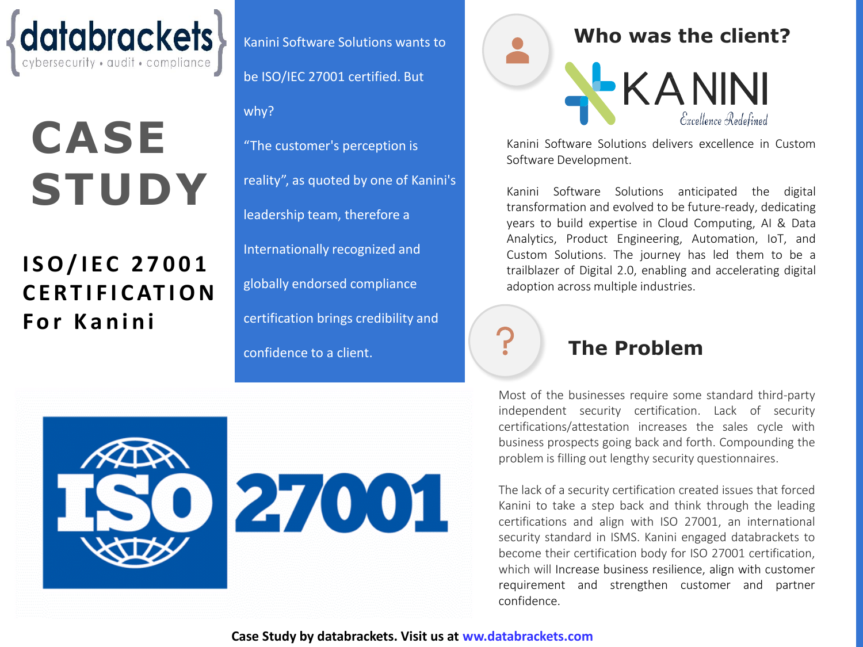

# **CASE STUDY**

# **I S O / I E C 2 7 0 0 1 C E R T I F I C AT I O N F o r K a n i n i**

Kanini Software Solutions wants to be ISO/IEC 27001 certified. But why? "The customer's perception is reality", as quoted by one of Kanini's leadership team, therefore a Internationally recognized and globally endorsed compliance certification brings credibility and confidence to a client. **The Problem**



Kanini Software Solutions delivers excellence in Custom Software Development.

Kanini Software Solutions anticipated the digital transformation and evolved to be future-ready, dedicating years to build expertise in Cloud Computing, AI & Data Analytics, Product Engineering, Automation, IoT, and Custom Solutions. The journey has led them to be a trailblazer of Digital 2.0, enabling and accelerating digital adoption across multiple industries.

Most of the businesses require some standard third-party independent security certification. Lack of security certifications/attestation increases the sales cycle with business prospects going back and forth. Compounding the problem is filling out lengthy security questionnaires.

The lack of a security certification created issues that forced Kanini to take a step back and think through the leading certifications and align with ISO 27001, an international security standard in ISMS. Kanini engaged databrackets to become their certification body for ISO 27001 certification, which will Increase business resilience, align with customer requirement and strengthen customer and partner confidence.

27001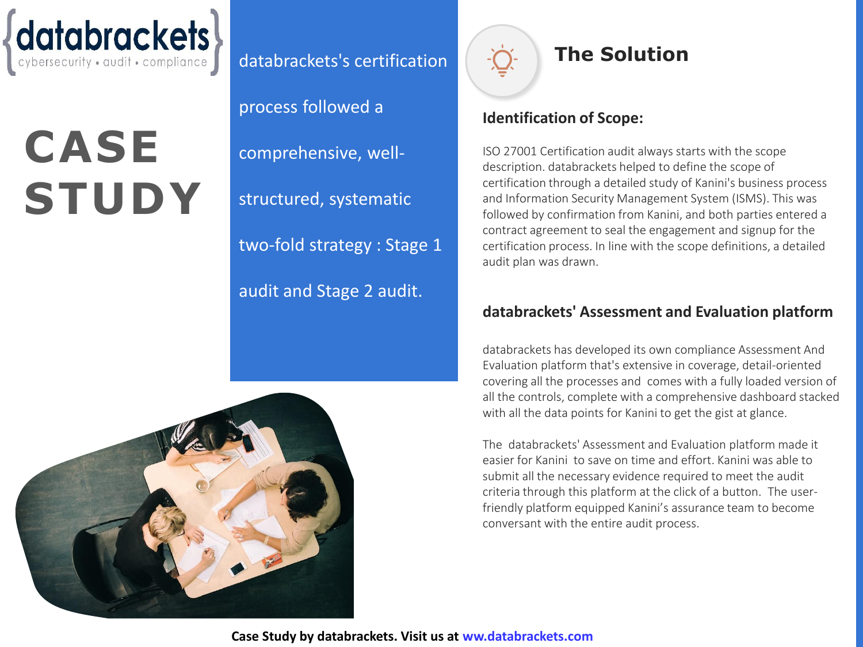

# **CASE STUDY**

databrackets's certification

process followed a

comprehensive, well-

structured, systematic

two-fold strategy : Stage 1

audit and Stage 2 audit.



### **The Solution**

#### **Identification of Scope:**

ISO 27001 Certification audit always starts with the scope description. databrackets helped to define the scope of certification through a detailed study of Kanini's business process and Information Security Management System (ISMS). This was followed by confirmation from Kanini, and both parties entered a contract agreement to seal the engagement and signup for the certification process. In line with the scope definitions, a detailed audit plan was drawn.

#### **databrackets' Assessment and Evaluation platform**

databrackets has developed its own compliance Assessment And Evaluation platform that's extensive in coverage, detail-oriented covering all the processes and comes with a fully loaded version of all the controls, complete with a comprehensive dashboard stacked with all the data points for Kanini to get the gist at glance.

The databrackets' Assessment and Evaluation platform made it easier for Kanini to save on time and effort. Kanini was able to submit all the necessary evidence required to meet the audit criteria through this platform at the click of a button. The userfriendly platform equipped Kanini's assurance team to become conversant with the entire audit process.

**Case Study by databrackets. Visit us at ww.databrackets.com**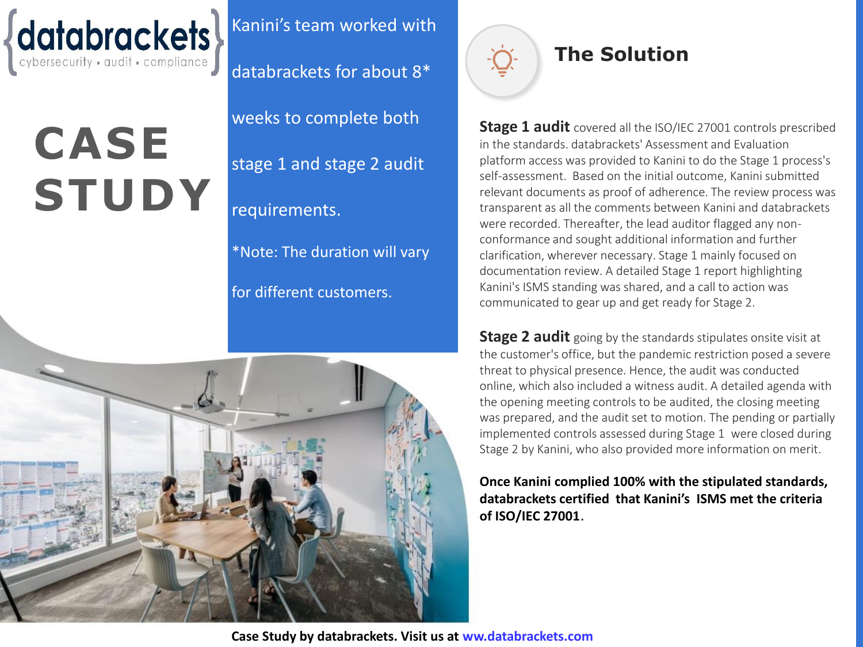

# **CASE STUDY**

Kanini's team worked with

databrackets for about 8\*

weeks to complete both

stage 1 and stage 2 audit

### requirements.

\*Note: The duration will vary

for different customers.





### **The Solution**

**Stage 1 audit** covered all the ISO/IEC 27001 controls prescribed in the standards. databrackets' Assessment and Evaluation platform access was provided to Kanini to do the Stage 1 process's self-assessment. Based on the initial outcome, Kanini submitted relevant documents as proof of adherence. The review process was transparent as all the comments between Kanini and databrackets were recorded. Thereafter, the lead auditor flagged any nonconformance and sought additional information and further clarification, wherever necessary. Stage 1 mainly focused on documentation review. A detailed Stage 1 report highlighting Kanini's ISMS standing was shared, and a call to action was communicated to gear up and get ready for Stage 2.

**Stage 2 audit** going by the standards stipulates onsite visit at the customer's office, but the pandemic restriction posed a severe threat to physical presence. Hence, the audit was conducted online, which also included a witness audit. A detailed agenda with the opening meeting controls to be audited, the closing meeting was prepared, and the audit set to motion. The pending or partially implemented controls assessed during Stage 1 were closed during Stage 2 by Kanini, who also provided more information on merit.

**Once Kanini complied 100% with the stipulated standards, databrackets certified that Kanini's ISMS met the criteria of ISO/IEC 27001**.

**Case Study by databrackets. Visit us at ww.databrackets.com**